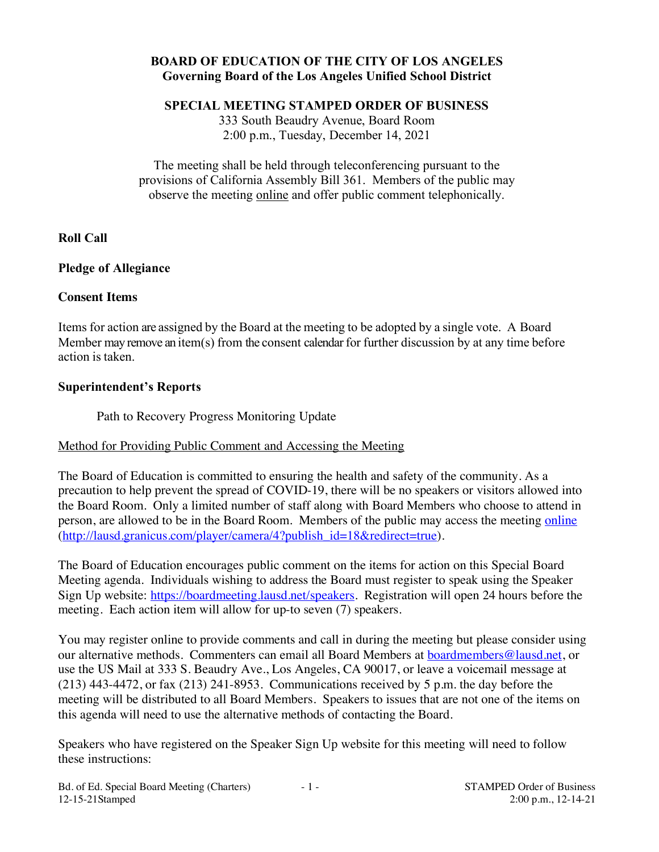# **BOARD OF EDUCATION OF THE CITY OF LOS ANGELES Governing Board of the Los Angeles Unified School District**

**SPECIAL MEETING STAMPED ORDER OF BUSINESS**

333 South Beaudry Avenue, Board Room 2:00 p.m., Tuesday, December 14, 2021

The meeting shall be held through teleconferencing pursuant to the provisions of California Assembly Bill 361. Members of the public may observe the meeting online and offer public comment telephonically.

# **Roll Call**

# **Pledge of Allegiance**

### **Consent Items**

Items for action are assigned by the Board at the meeting to be adopted by a single vote. A Board Member may remove an item(s) from the consent calendar for further discussion by at any time before action is taken.

# **Superintendent's Reports**

Path to Recovery Progress Monitoring Update

# Method for Providing Public Comment and Accessing the Meeting

The Board of Education is committed to ensuring the health and safety of the community. As a precaution to help prevent the spread of COVID-19, there will be no speakers or visitors allowed into the Board Room. Only a limited number of staff along with Board Members who choose to attend in person, are allowed to be in the Board Room. Members of the public may access the meeting online (http://lausd.granicus.com/player/camera/4?publish\_id=18&redirect=true).

The Board of Education encourages public comment on the items for action on this Special Board Meeting agenda. Individuals wishing to address the Board must register to speak using the Speaker Sign Up website: https://boardmeeting.lausd.net/speakers. Registration will open 24 hours before the meeting. Each action item will allow for up-to seven (7) speakers.

You may register online to provide comments and call in during the meeting but please consider using our alternative methods. Commenters can email all Board Members at boardmembers@lausd.net, or use the US Mail at 333 S. Beaudry Ave., Los Angeles, CA 90017, or leave a voicemail message at (213) 443-4472, or fax (213) 241-8953. Communications received by 5 p.m. the day before the meeting will be distributed to all Board Members. Speakers to issues that are not one of the items on this agenda will need to use the alternative methods of contacting the Board.

Speakers who have registered on the Speaker Sign Up website for this meeting will need to follow these instructions: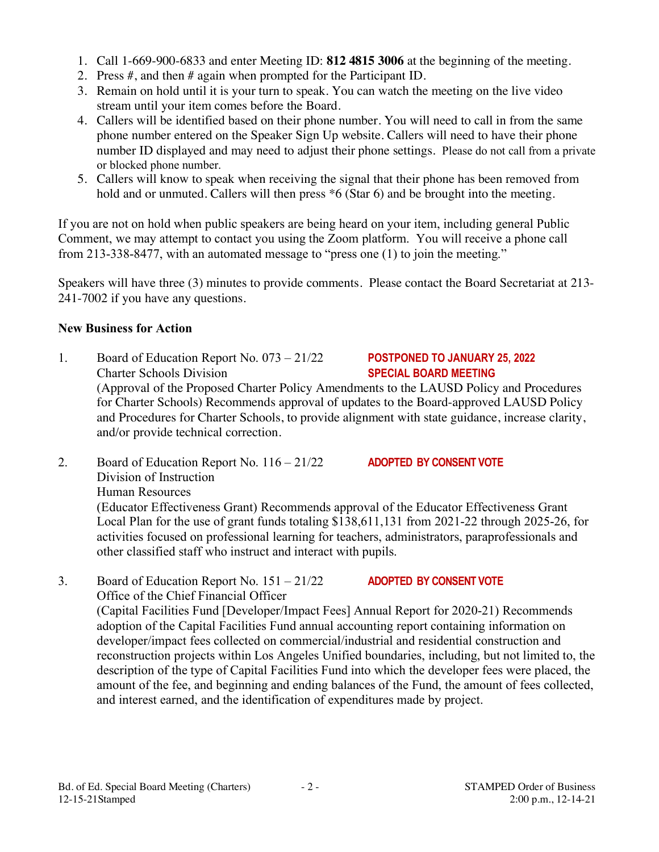- 1. Call 1-669-900-6833 and enter Meeting ID: **812 4815 3006** at the beginning of the meeting.
- 2. Press #, and then # again when prompted for the Participant ID.
- 3. Remain on hold until it is your turn to speak. You can watch the meeting on the live video stream until your item comes before the Board.
- 4. Callers will be identified based on their phone number. You will need to call in from the same phone number entered on the Speaker Sign Up website. Callers will need to have their phone number ID displayed and may need to adjust their phone settings. Please do not call from a private or blocked phone number.
- 5. Callers will know to speak when receiving the signal that their phone has been removed from hold and or unmuted. Callers will then press  $*6$  (Star 6) and be brought into the meeting.

If you are not on hold when public speakers are being heard on your item, including general Public Comment, we may attempt to contact you using the Zoom platform. You will receive a phone call from 213-338-8477, with an automated message to "press one (1) to join the meeting."

Speakers will have three (3) minutes to provide comments. Please contact the Board Secretariat at 213- 241-7002 if you have any questions.

# **New Business for Action**

- 1. Board of Education Report No. 073 21/22 **POSTPONED TO JANUARY 25, 2022**  Charter Schools Division **SPECIAL BOARD MEETING** (Approval of the Proposed Charter Policy Amendments to the LAUSD Policy and Procedures for Charter Schools) Recommends approval of updates to the Board-approved LAUSD Policy and Procedures for Charter Schools, to provide alignment with state guidance, increase clarity, and/or provide technical correction.
- 2. Board of Education Report No. 116 21/22 **ADOPTED BY CONSENT VOTE** Division of Instruction Human Resources (Educator Effectiveness Grant) Recommends approval of the Educator Effectiveness Grant Local Plan for the use of grant funds totaling \$138,611,131 from 2021-22 through 2025-26, for activities focused on professional learning for teachers, administrators, paraprofessionals and other classified staff who instruct and interact with pupils.
- 3. Board of Education Report No. 151 21/22 **ADOPTED BY CONSENT VOTE** Office of the Chief Financial Officer (Capital Facilities Fund [Developer/Impact Fees] Annual Report for 2020-21) Recommends adoption of the Capital Facilities Fund annual accounting report containing information on developer/impact fees collected on commercial/industrial and residential construction and reconstruction projects within Los Angeles Unified boundaries, including, but not limited to, the description of the type of Capital Facilities Fund into which the developer fees were placed, the amount of the fee, and beginning and ending balances of the Fund, the amount of fees collected, and interest earned, and the identification of expenditures made by project.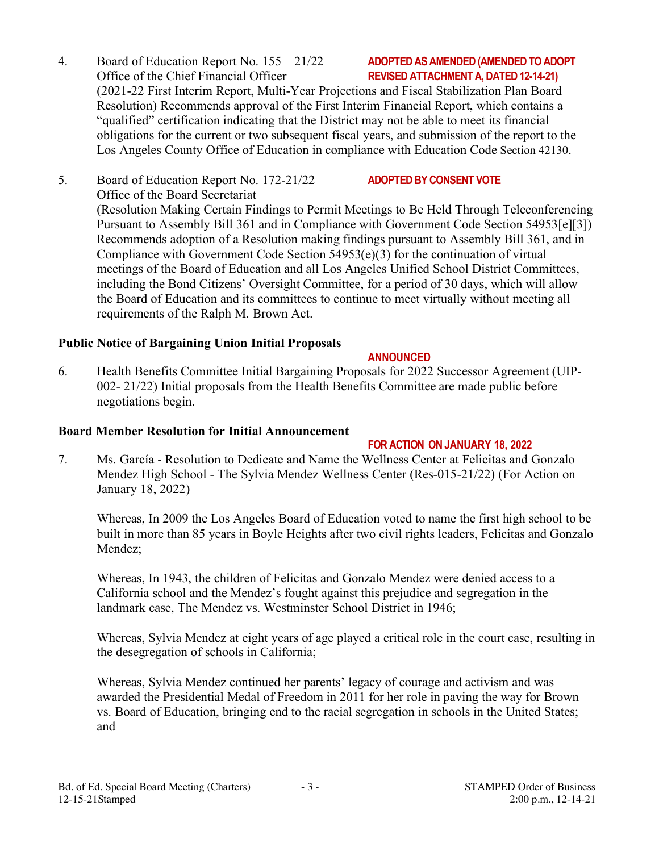- 4. Board of Education Report No. 155 21/22 **ADOPTED AS AMENDED(AMENDEDTO ADOPT**  Office of the Chief Financial Officer **REVISED ATTACHMENT A, DATED 12-14-21)** (2021-22 First Interim Report, Multi-Year Projections and Fiscal Stabilization Plan Board Resolution) Recommends approval of the First Interim Financial Report, which contains a "qualified" certification indicating that the District may not be able to meet its financial obligations for the current or two subsequent fiscal years, and submission of the report to the Los Angeles County Office of Education in compliance with Education Code Section 42130.
- 5. Board of Education Report No. 172-21/22 **ADOPTEDBY CONSENT VOTE** Office of the Board Secretariat (Resolution Making Certain Findings to Permit Meetings to Be Held Through Teleconferencing Pursuant to Assembly Bill 361 and in Compliance with Government Code Section 54953[e][3]) Recommends adoption of a Resolution making findings pursuant to Assembly Bill 361, and in Compliance with Government Code Section 54953(e)(3) for the continuation of virtual meetings of the Board of Education and all Los Angeles Unified School District Committees, including the Bond Citizens' Oversight Committee, for a period of 30 days, which will allow the Board of Education and its committees to continue to meet virtually without meeting all requirements of the Ralph M. Brown Act.

### **Public Notice of Bargaining Union Initial Proposals**

6. Health Benefits Committee Initial Bargaining Proposals for 2022 Successor Agreement (UIP-002- 21/22) Initial proposals from the Health Benefits Committee are made public before negotiations begin.

### **Board Member Resolution for Initial Announcement**

# **FOR ACTION ON JANUARY 18, 2022**

**ANNOUNCED**

7. Ms. García - Resolution to Dedicate and Name the Wellness Center at Felicitas and Gonzalo Mendez High School - The Sylvia Mendez Wellness Center (Res-015-21/22) (For Action on January 18, 2022)

Whereas, In 2009 the Los Angeles Board of Education voted to name the first high school to be built in more than 85 years in Boyle Heights after two civil rights leaders, Felicitas and Gonzalo Mendez;

Whereas, In 1943, the children of Felicitas and Gonzalo Mendez were denied access to a California school and the Mendez's fought against this prejudice and segregation in the landmark case, The Mendez vs. Westminster School District in 1946;

Whereas, Sylvia Mendez at eight years of age played a critical role in the court case, resulting in the desegregation of schools in California;

Whereas, Sylvia Mendez continued her parents' legacy of courage and activism and was awarded the Presidential Medal of Freedom in 2011 for her role in paving the way for Brown vs. Board of Education, bringing end to the racial segregation in schools in the United States; and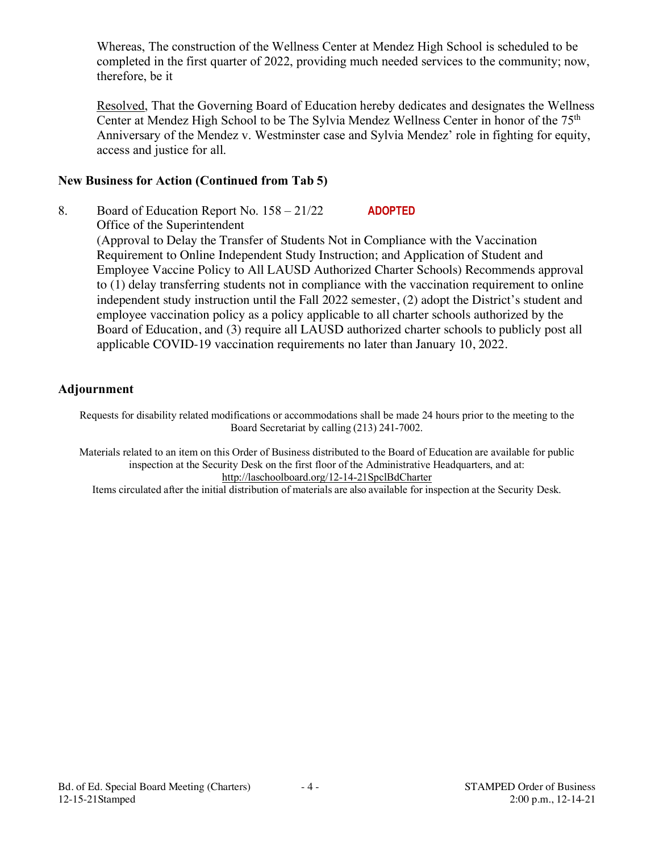Whereas, The construction of the Wellness Center at Mendez High School is scheduled to be completed in the first quarter of 2022, providing much needed services to the community; now, therefore, be it

Resolved, That the Governing Board of Education hereby dedicates and designates the Wellness Center at Mendez High School to be The Sylvia Mendez Wellness Center in honor of the 75<sup>th</sup> Anniversary of the Mendez v. Westminster case and Sylvia Mendez' role in fighting for equity, access and justice for all.

### **New Business for Action (Continued from Tab 5)**

8. Board of Education Report No. 158 – 21/22 **ADOPTED** Office of the Superintendent (Approval to Delay the Transfer of Students Not in Compliance with the Vaccination Requirement to Online Independent Study Instruction; and Application of Student and Employee Vaccine Policy to All LAUSD Authorized Charter Schools) Recommends approval to (1) delay transferring students not in compliance with the vaccination requirement to online independent study instruction until the Fall 2022 semester, (2) adopt the District's student and employee vaccination policy as a policy applicable to all charter schools authorized by the Board of Education, and (3) require all LAUSD authorized charter schools to publicly post all applicable COVID-19 vaccination requirements no later than January 10, 2022.

### **Adjournment**

Requests for disability related modifications or accommodations shall be made 24 hours prior to the meeting to the Board Secretariat by calling (213) 241-7002.

Materials related to an item on this Order of Business distributed to the Board of Education are available for public inspection at the Security Desk on the first floor of the Administrative Headquarters, and at: http://laschoolboard.org/12-14-21SpclBdCharter

Items circulated after the initial distribution of materials are also available for inspection at the Security Desk.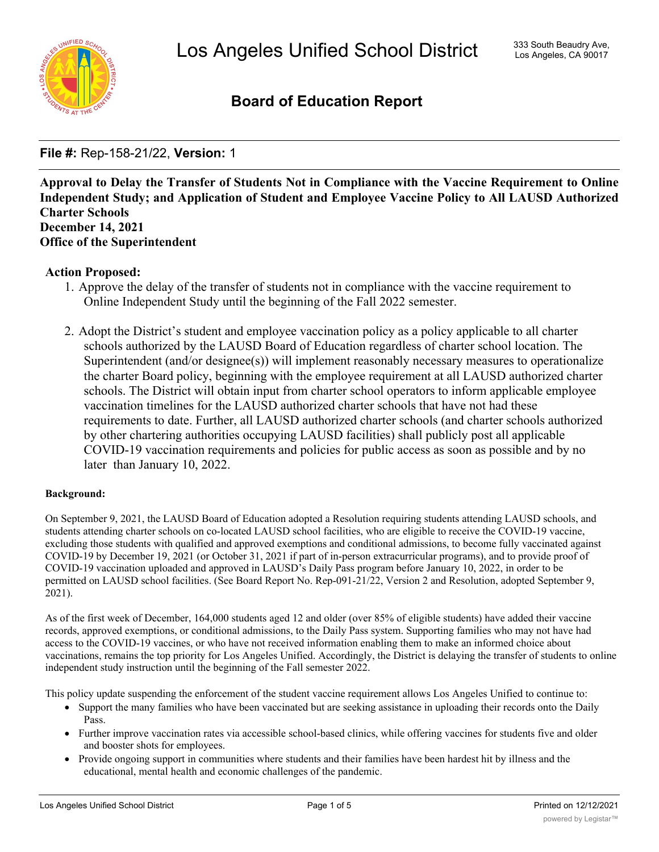

# **Board of Education Report**

**File #:** Rep-158-21/22, **Version:** 1

**Approval to Delay the Transfer of Students Not in Compliance with the Vaccine Requirement to Online Independent Study; and Application of Student and Employee Vaccine Policy to All LAUSD Authorized Charter Schools December 14, 2021 Office of the Superintendent**

### **Action Proposed:**

- 1. Approve the delay of the transfer of students not in compliance with the vaccine requirement to Online Independent Study until the beginning of the Fall 2022 semester.
- 2. Adopt the District's student and employee vaccination policy as a policy applicable to all charter schools authorized by the LAUSD Board of Education regardless of charter school location. The Superintendent (and/or designee(s)) will implement reasonably necessary measures to operationalize the charter Board policy, beginning with the employee requirement at all LAUSD authorized charter schools. The District will obtain input from charter school operators to inform applicable employee vaccination timelines for the LAUSD authorized charter schools that have not had these requirements to date. Further, all LAUSD authorized charter schools (and charter schools authorized by other chartering authorities occupying LAUSD facilities) shall publicly post all applicable COVID-19 vaccination requirements and policies for public access as soon as possible and by no later than January 10, 2022.

### **Background:**

On September 9, 2021, the LAUSD Board of Education adopted a Resolution requiring students attending LAUSD schools, and students attending charter schools on co-located LAUSD school facilities, who are eligible to receive the COVID-19 vaccine, excluding those students with qualified and approved exemptions and conditional admissions, to become fully vaccinated against COVID-19 by December 19, 2021 (or October 31, 2021 if part of in-person extracurricular programs), and to provide proof of COVID-19 vaccination uploaded and approved in LAUSD's Daily Pass program before January 10, 2022, in order to be permitted on LAUSD school facilities. (See Board Report No. Rep-091-21/22, Version 2 and Resolution, adopted September 9, 2021).

As of the first week of December, 164,000 students aged 12 and older (over 85% of eligible students) have added their vaccine records, approved exemptions, or conditional admissions, to the Daily Pass system. Supporting families who may not have had access to the COVID-19 vaccines, or who have not received information enabling them to make an informed choice about vaccinations, remains the top priority for Los Angeles Unified. Accordingly, the District is delaying the transfer of students to online independent study instruction until the beginning of the Fall semester 2022.

This policy update suspending the enforcement of the student vaccine requirement allows Los Angeles Unified to continue to:

- · Support the many families who have been vaccinated but are seeking assistance in uploading their records onto the Daily Pass.
- · Further improve vaccination rates via accessible school-based clinics, while offering vaccines for students five and older and booster shots for employees.
- · Provide ongoing support in communities where students and their families have been hardest hit by illness and the educational, mental health and economic challenges of the pandemic.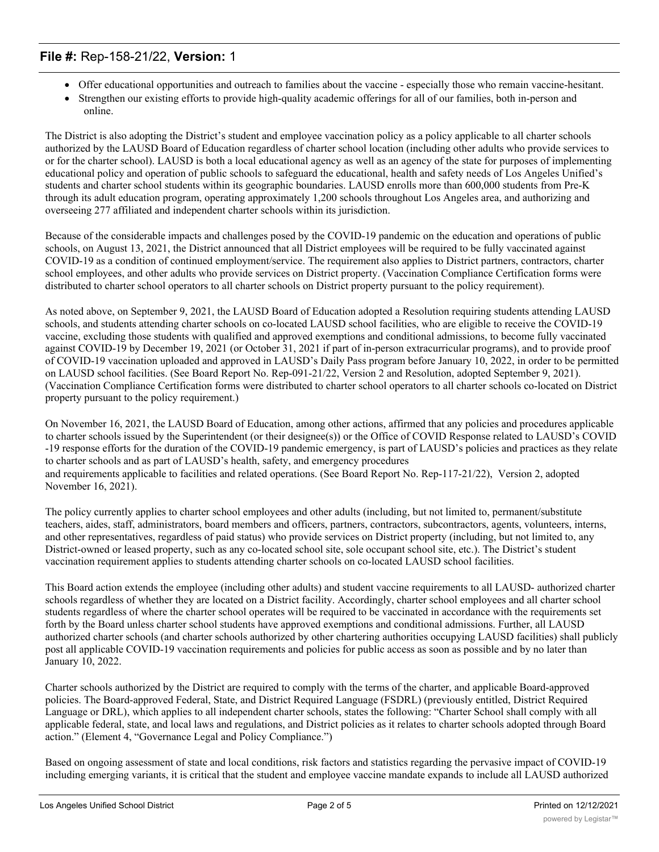# **File #:** Rep-158-21/22, **Version:** 1

- · Offer educational opportunities and outreach to families about the vaccine especially those who remain vaccine-hesitant.
- · Strengthen our existing efforts to provide high-quality academic offerings for all of our families, both in-person and online.

The District is also adopting the District's student and employee vaccination policy as a policy applicable to all charter schools authorized by the LAUSD Board of Education regardless of charter school location (including other adults who provide services to or for the charter school). LAUSD is both a local educational agency as well as an agency of the state for purposes of implementing educational policy and operation of public schools to safeguard the educational, health and safety needs of Los Angeles Unified's students and charter school students within its geographic boundaries. LAUSD enrolls more than 600,000 students from Pre-K through its adult education program, operating approximately 1,200 schools throughout Los Angeles area, and authorizing and overseeing 277 affiliated and independent charter schools within its jurisdiction.

Because of the considerable impacts and challenges posed by the COVID-19 pandemic on the education and operations of public schools, on August 13, 2021, the District announced that all District employees will be required to be fully vaccinated against COVID-19 as a condition of continued employment/service. The requirement also applies to District partners, contractors, charter school employees, and other adults who provide services on District property. (Vaccination Compliance Certification forms were distributed to charter school operators to all charter schools on District property pursuant to the policy requirement).

As noted above, on September 9, 2021, the LAUSD Board of Education adopted a Resolution requiring students attending LAUSD schools, and students attending charter schools on co-located LAUSD school facilities, who are eligible to receive the COVID-19 vaccine, excluding those students with qualified and approved exemptions and conditional admissions, to become fully vaccinated against COVID-19 by December 19, 2021 (or October 31, 2021 if part of in-person extracurricular programs), and to provide proof of COVID-19 vaccination uploaded and approved in LAUSD's Daily Pass program before January 10, 2022, in order to be permitted on LAUSD school facilities. (See Board Report No. Rep-091-21/22, Version 2 and Resolution, adopted September 9, 2021). (Vaccination Compliance Certification forms were distributed to charter school operators to all charter schools co-located on District property pursuant to the policy requirement.)

On November 16, 2021, the LAUSD Board of Education, among other actions, affirmed that any policies and procedures applicable to charter schools issued by the Superintendent (or their designee(s)) or the Office of COVID Response related to LAUSD's COVID -19 response efforts for the duration of the COVID-19 pandemic emergency, is part of LAUSD's policies and practices as they relate to charter schools and as part of LAUSD's health, safety, and emergency procedures and requirements applicable to facilities and related operations. (See Board Report No. Rep-117-21/22), Version 2, adopted November 16, 2021).

The policy currently applies to charter school employees and other adults (including, but not limited to, permanent/substitute teachers, aides, staff, administrators, board members and officers, partners, contractors, subcontractors, agents, volunteers, interns, and other representatives, regardless of paid status) who provide services on District property (including, but not limited to, any District-owned or leased property, such as any co-located school site, sole occupant school site, etc.). The District's student vaccination requirement applies to students attending charter schools on co-located LAUSD school facilities.

This Board action extends the employee (including other adults) and student vaccine requirements to all LAUSD- authorized charter schools regardless of whether they are located on a District facility. Accordingly, charter school employees and all charter school students regardless of where the charter school operates will be required to be vaccinated in accordance with the requirements set forth by the Board unless charter school students have approved exemptions and conditional admissions. Further, all LAUSD authorized charter schools (and charter schools authorized by other chartering authorities occupying LAUSD facilities) shall publicly post all applicable COVID-19 vaccination requirements and policies for public access as soon as possible and by no later than January 10, 2022.

Charter schools authorized by the District are required to comply with the terms of the charter, and applicable Board-approved policies. The Board-approved Federal, State, and District Required Language (FSDRL) (previously entitled, District Required Language or DRL), which applies to all independent charter schools, states the following: "Charter School shall comply with all applicable federal, state, and local laws and regulations, and District policies as it relates to charter schools adopted through Board action." (Element 4, "Governance Legal and Policy Compliance.")

Based on ongoing assessment of state and local conditions, risk factors and statistics regarding the pervasive impact of COVID-19 including emerging variants, it is critical that the student and employee vaccine mandate expands to include all LAUSD authorized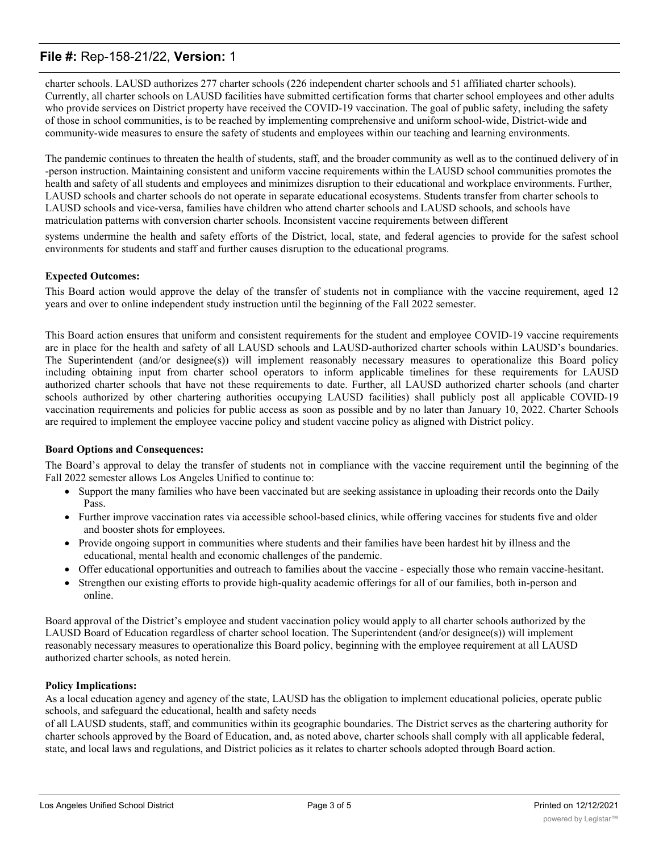# **File #:** Rep-158-21/22, **Version:** 1

charter schools. LAUSD authorizes 277 charter schools (226 independent charter schools and 51 affiliated charter schools). Currently, all charter schools on LAUSD facilities have submitted certification forms that charter school employees and other adults who provide services on District property have received the COVID-19 vaccination. The goal of public safety, including the safety of those in school communities, is to be reached by implementing comprehensive and uniform school-wide, District-wide and community-wide measures to ensure the safety of students and employees within our teaching and learning environments.

The pandemic continues to threaten the health of students, staff, and the broader community as well as to the continued delivery of in -person instruction. Maintaining consistent and uniform vaccine requirements within the LAUSD school communities promotes the health and safety of all students and employees and minimizes disruption to their educational and workplace environments. Further, LAUSD schools and charter schools do not operate in separate educational ecosystems. Students transfer from charter schools to LAUSD schools and vice-versa, families have children who attend charter schools and LAUSD schools, and schools have matriculation patterns with conversion charter schools. Inconsistent vaccine requirements between different

systems undermine the health and safety efforts of the District, local, state, and federal agencies to provide for the safest school environments for students and staff and further causes disruption to the educational programs.

#### **Expected Outcomes:**

This Board action would approve the delay of the transfer of students not in compliance with the vaccine requirement, aged 12 years and over to online independent study instruction until the beginning of the Fall 2022 semester.

This Board action ensures that uniform and consistent requirements for the student and employee COVID-19 vaccine requirements are in place for the health and safety of all LAUSD schools and LAUSD-authorized charter schools within LAUSD's boundaries. The Superintendent (and/or designee(s)) will implement reasonably necessary measures to operationalize this Board policy including obtaining input from charter school operators to inform applicable timelines for these requirements for LAUSD authorized charter schools that have not these requirements to date. Further, all LAUSD authorized charter schools (and charter schools authorized by other chartering authorities occupying LAUSD facilities) shall publicly post all applicable COVID-19 vaccination requirements and policies for public access as soon as possible and by no later than January 10, 2022. Charter Schools are required to implement the employee vaccine policy and student vaccine policy as aligned with District policy.

#### **Board Options and Consequences:**

The Board's approval to delay the transfer of students not in compliance with the vaccine requirement until the beginning of the Fall 2022 semester allows Los Angeles Unified to continue to:

- · Support the many families who have been vaccinated but are seeking assistance in uploading their records onto the Daily Pass.
- Further improve vaccination rates via accessible school-based clinics, while offering vaccines for students five and older and booster shots for employees.
- · Provide ongoing support in communities where students and their families have been hardest hit by illness and the educational, mental health and economic challenges of the pandemic.
- · Offer educational opportunities and outreach to families about the vaccine especially those who remain vaccine-hesitant.
- · Strengthen our existing efforts to provide high-quality academic offerings for all of our families, both in-person and online.

Board approval of the District's employee and student vaccination policy would apply to all charter schools authorized by the LAUSD Board of Education regardless of charter school location. The Superintendent (and/or designee(s)) will implement reasonably necessary measures to operationalize this Board policy, beginning with the employee requirement at all LAUSD authorized charter schools, as noted herein.

#### **Policy Implications:**

As a local education agency and agency of the state, LAUSD has the obligation to implement educational policies, operate public schools, and safeguard the educational, health and safety needs

of all LAUSD students, staff, and communities within its geographic boundaries. The District serves as the chartering authority for charter schools approved by the Board of Education, and, as noted above, charter schools shall comply with all applicable federal, state, and local laws and regulations, and District policies as it relates to charter schools adopted through Board action.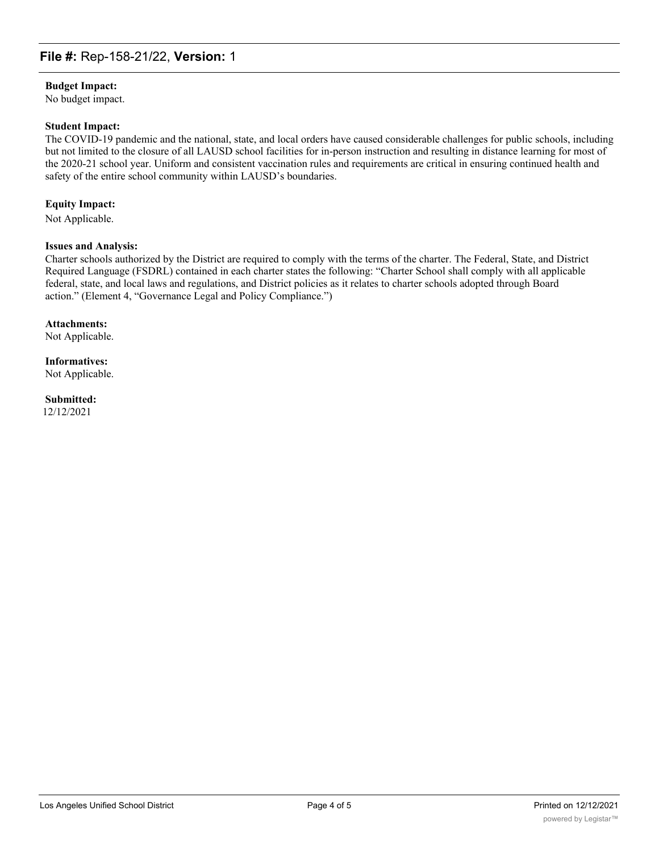### **File #:** Rep-158-21/22, **Version:** 1

#### **Budget Impact:**

No budget impact.

#### **Student Impact:**

The COVID-19 pandemic and the national, state, and local orders have caused considerable challenges for public schools, including but not limited to the closure of all LAUSD school facilities for in-person instruction and resulting in distance learning for most of the 2020-21 school year. Uniform and consistent vaccination rules and requirements are critical in ensuring continued health and safety of the entire school community within LAUSD's boundaries.

#### **Equity Impact:**

Not Applicable.

#### **Issues and Analysis:**

Charter schools authorized by the District are required to comply with the terms of the charter. The Federal, State, and District Required Language (FSDRL) contained in each charter states the following: "Charter School shall comply with all applicable federal, state, and local laws and regulations, and District policies as it relates to charter schools adopted through Board action." (Element 4, "Governance Legal and Policy Compliance.")

# **Attachments:**

Not Applicable.

### **Informatives:** Not Applicable.

# **Submitted:**

12/12/2021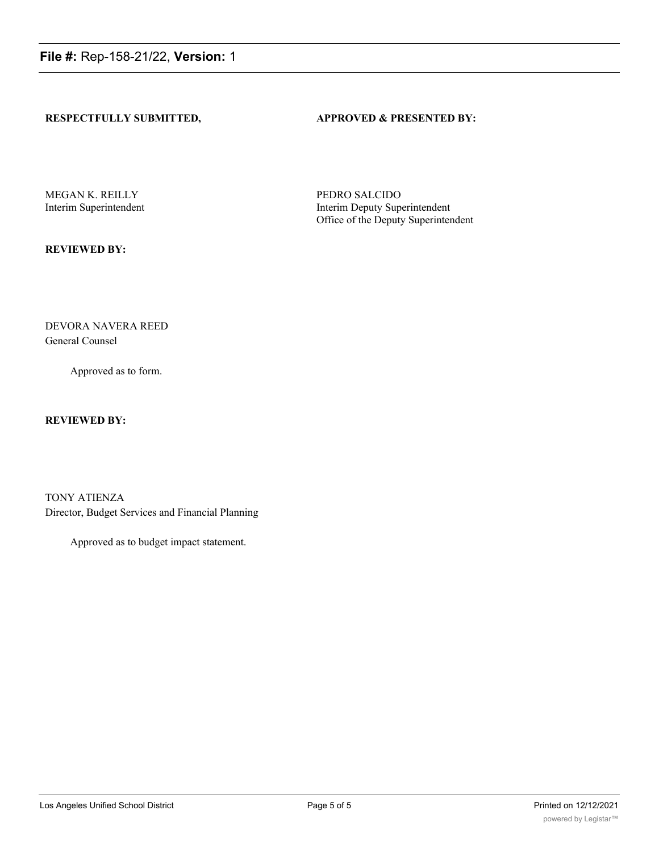### **RESPECTFULLY SUBMITTED, APPROVED & PRESENTED BY:**

MEGAN K. REILLY PEDRO SALCIDO

Interim Superintendent Interim Deputy Superintendent Office of the Deputy Superintendent

**REVIEWED BY:**

DEVORA NAVERA REED General Counsel

Approved as to form.

### **REVIEWED BY:**

TONY ATIENZA Director, Budget Services and Financial Planning

Approved as to budget impact statement.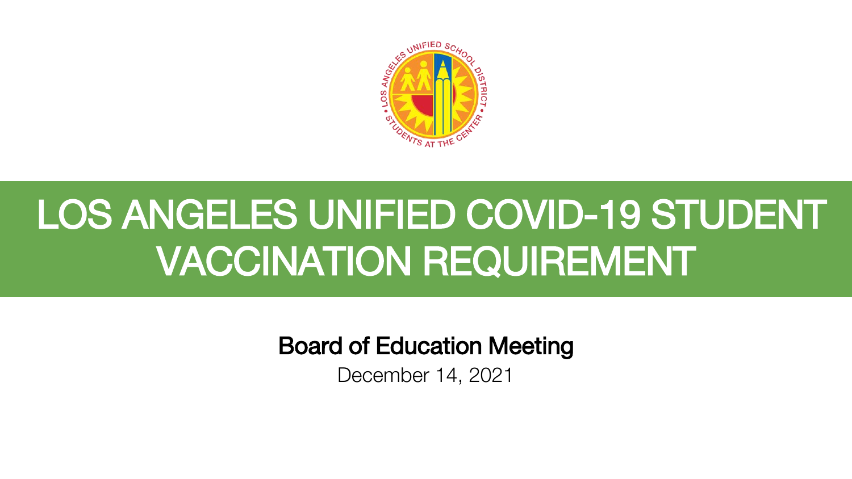

# LOS ANGELES UNIFIED COVID-19 STUDENT VACCINATION REQUIREMENT

Board of Education Meeting

December 14, 2021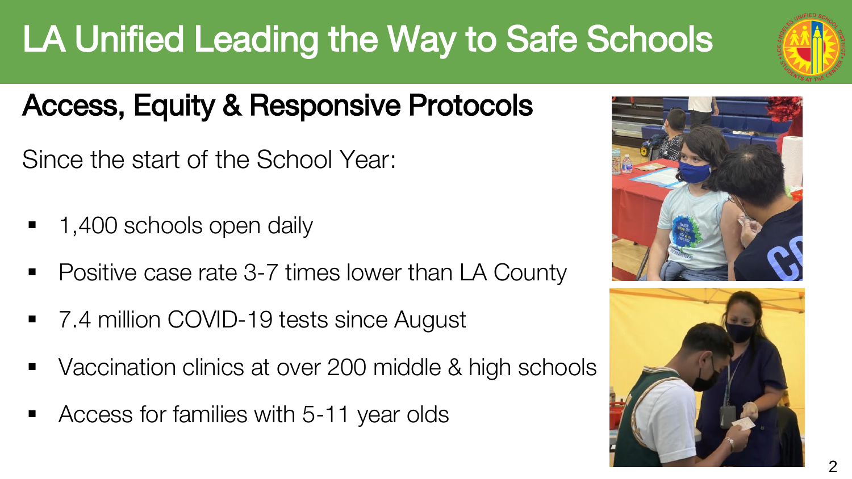# LA Unified Leading the Way to Safe Schools

# Access, Equity & Responsive Protocols

Since the start of the School Year:

- 1,400 schools open daily
- Positive case rate 3-7 times lower than LA County
- 7.4 million COVID-19 tests since August
- Vaccination clinics at over 200 middle & high schools
- Access for families with 5-11 year olds





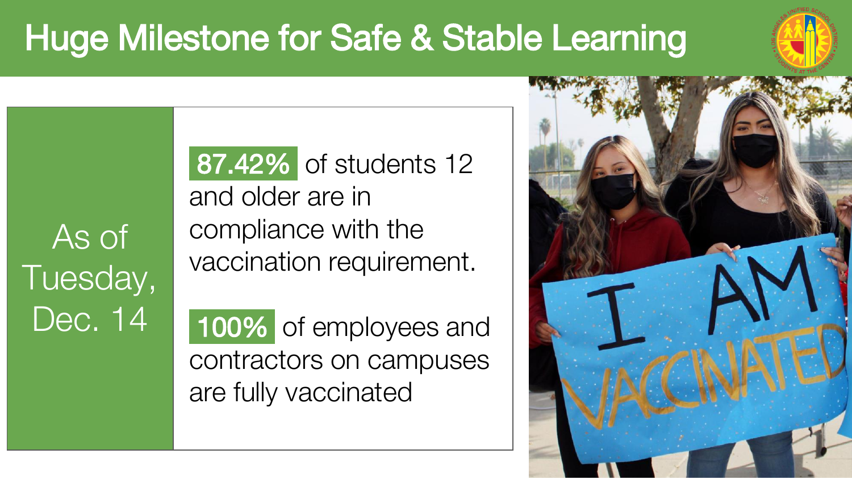# Huge Milestone for Safe & Stable Learning



As of Tuesday, Dec. 14

87.42% of students 12 and older are in compliance with the vaccination requirement.

100% of employees and contractors on campuses are fully vaccinated

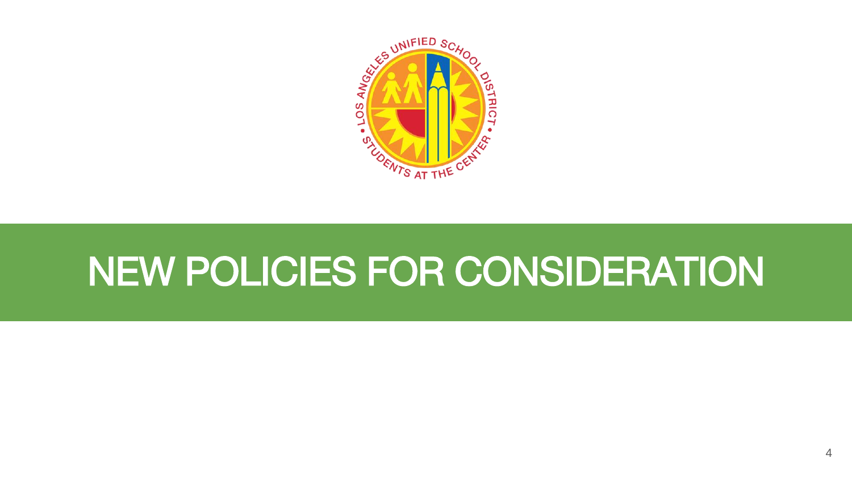

# NEW POLICIES FOR CONSIDERATION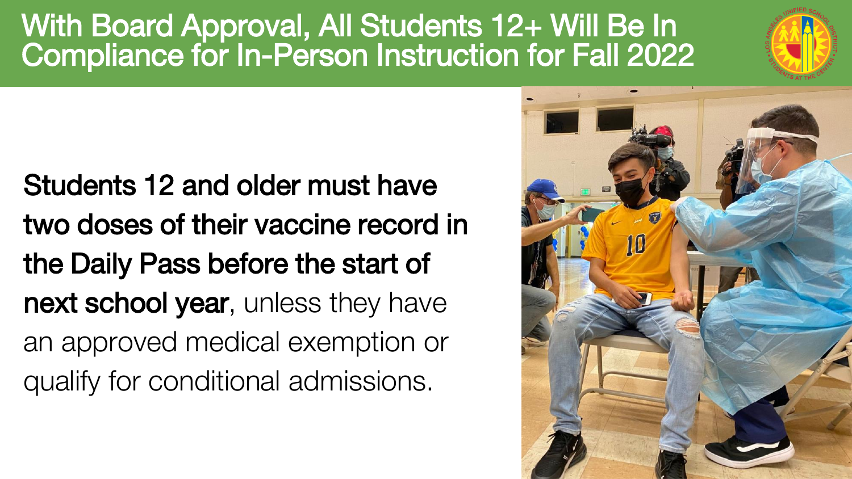# With Board Approval, All Students 12+ Will Be In Compliance for In-Person Instruction for Fall 2022



Students 12 and older must have two doses of their vaccine record in the Daily Pass before the start of next school year, unless they have an approved medical exemption or qualify for conditional admissions.

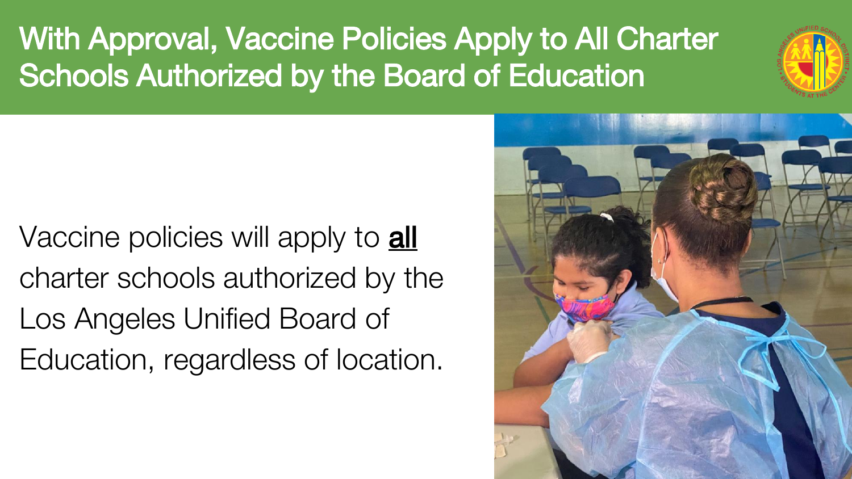With Approval, Vaccine Policies Apply to All Charter Schools Authorized by the Board of Education



Vaccine policies will apply to **all** charter schools authorized by the Los Angeles Unified Board of Education, regardless of location.

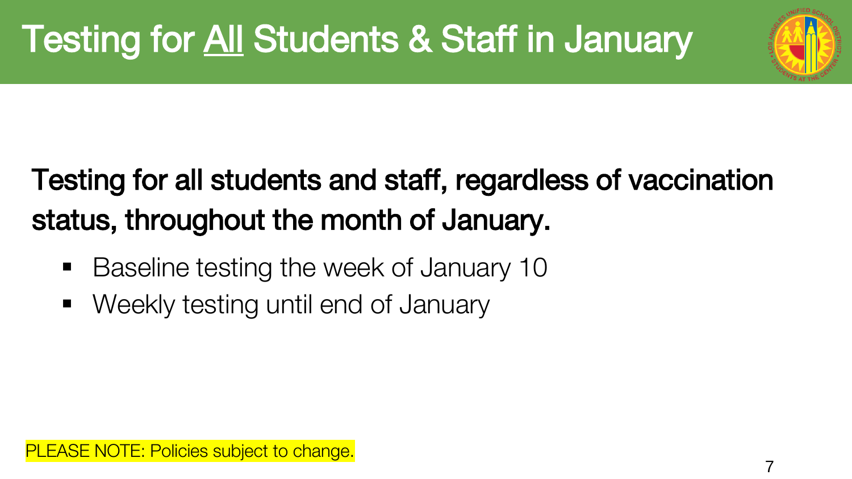

# Testing for all students and staff, regardless of vaccination status, throughout the month of January.

- Baseline testing the week of January 10
- Weekly testing until end of January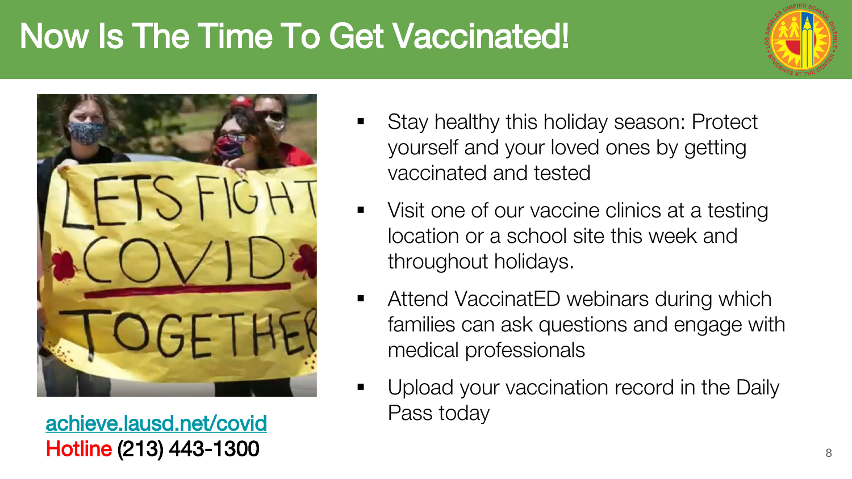# Now Is The Time To Get Vaccinated!





Pass today [achieve.lausd.net/covid](http://achieve.lausd.net/covid) Hotline (213) 443-1300

- **Stay healthy this holiday season: Protect** yourself and your loved ones by getting vaccinated and tested
- Visit one of our vaccine clinics at a testing location or a school site this week and throughout holidays.
- Attend VaccinatED webinars during which families can ask questions and engage with medical professionals
- **Upload your vaccination record in the Daily**